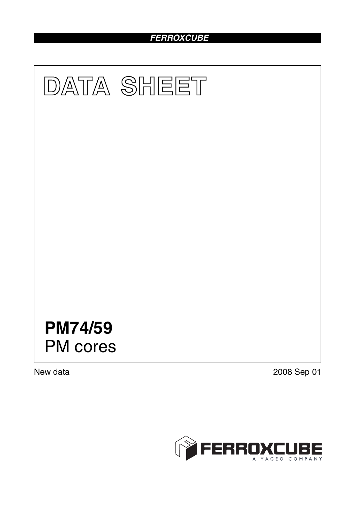# *FERROXCUBE*



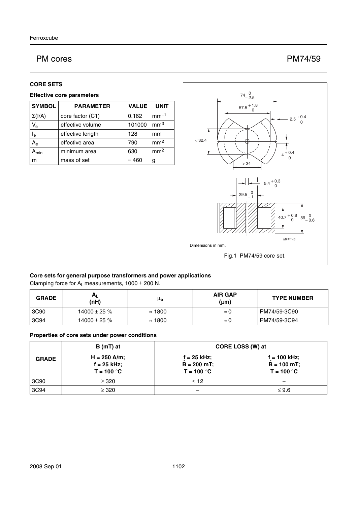## PM cores PM74/59

#### **CORE SETS**

#### **Effective core parameters**

| <b>SYMBOL</b>       | <b>PARAMETER</b> | <b>VALUE</b>  | <b>UNIT</b>     |
|---------------------|------------------|---------------|-----------------|
| $\Sigma(I/A)$       | core factor (C1) | 0.162         | $mm-1$          |
| $V_{e}$             | effective volume | 101000        | mm <sup>3</sup> |
| $I_e$               | effective length | 128           | mm              |
| $A_{e}$             | effective area   | 790           | mm <sup>2</sup> |
| $\lambda_{\sf min}$ | minimum area     | 630           | mm <sup>2</sup> |
| m                   | mass of set      | $\approx 460$ | g               |



#### **Core sets for general purpose transformers and power applications**

Clamping force for  $A_L$  measurements,  $1000 \pm 200$  N.

| <b>GRADE</b> | $H_{L}$<br>(nH)  | μ <sub>e</sub> | <b>AIR GAP</b><br>$(\mu m)$ | <b>TYPE NUMBER</b> |
|--------------|------------------|----------------|-----------------------------|--------------------|
| 3C90         | 14000 $\pm$ 25 % | $\approx$ 1800 | $\approx 0$                 | PM74/59-3C90       |
| 3C94         | 14000 $\pm$ 25 % | $\approx$ 1800 | $\approx 0$                 | PM74/59-3C94       |

#### **Properties of core sets under power conditions**

|              | $B(mT)$ at                                      |                                              | CORE LOSS (W) at                                 |
|--------------|-------------------------------------------------|----------------------------------------------|--------------------------------------------------|
| <b>GRADE</b> | $H = 250$ A/m;<br>$f = 25$ kHz;<br>$T = 100 °C$ | f = 25 kHz;<br>$B = 200$ mT;<br>$T = 100 °C$ | $f = 100$ kHz;<br>$B = 100 mT$ ;<br>$T = 100 °C$ |
| 3C90         | $\geq$ 320                                      | $\leq 12$                                    |                                                  |
| 3C94         | $\geq$ 320                                      |                                              | $\leq 9.6$                                       |